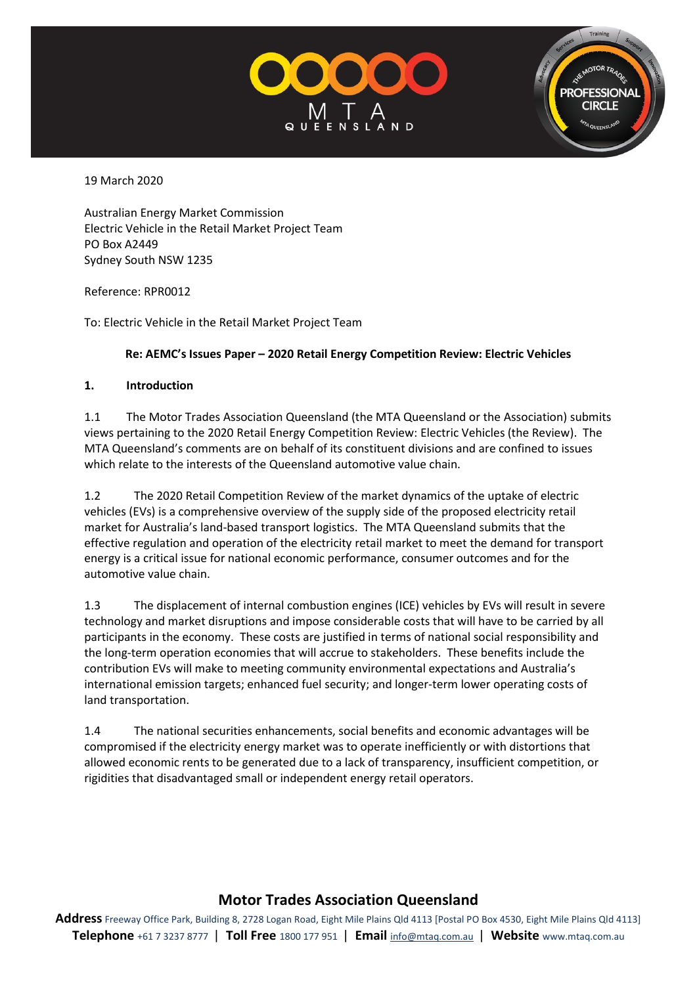

**PROFESSIONA CIRCLE** 

19 March 2020

Australian Energy Market Commission Electric Vehicle in the Retail Market Project Team PO Box A2449 Sydney South NSW 1235

Reference: RPR0012

To: Electric Vehicle in the Retail Market Project Team

#### **Re: AEMC's Issues Paper – 2020 Retail Energy Competition Review: Electric Vehicles**

#### **1. Introduction**

1.1 The Motor Trades Association Queensland (the MTA Queensland or the Association) submits views pertaining to the 2020 Retail Energy Competition Review: Electric Vehicles (the Review). The MTA Queensland's comments are on behalf of its constituent divisions and are confined to issues which relate to the interests of the Queensland automotive value chain.

1.2 The 2020 Retail Competition Review of the market dynamics of the uptake of electric vehicles (EVs) is a comprehensive overview of the supply side of the proposed electricity retail market for Australia's land-based transport logistics. The MTA Queensland submits that the effective regulation and operation of the electricity retail market to meet the demand for transport energy is a critical issue for national economic performance, consumer outcomes and for the automotive value chain.

1.3 The displacement of internal combustion engines (ICE) vehicles by EVs will result in severe technology and market disruptions and impose considerable costs that will have to be carried by all participants in the economy. These costs are justified in terms of national social responsibility and the long-term operation economies that will accrue to stakeholders. These benefits include the contribution EVs will make to meeting community environmental expectations and Australia's international emission targets; enhanced fuel security; and longer-term lower operating costs of land transportation.

1.4 The national securities enhancements, social benefits and economic advantages will be compromised if the electricity energy market was to operate inefficiently or with distortions that allowed economic rents to be generated due to a lack of transparency, insufficient competition, or rigidities that disadvantaged small or independent energy retail operators.

# **Motor Trades Association Queensland**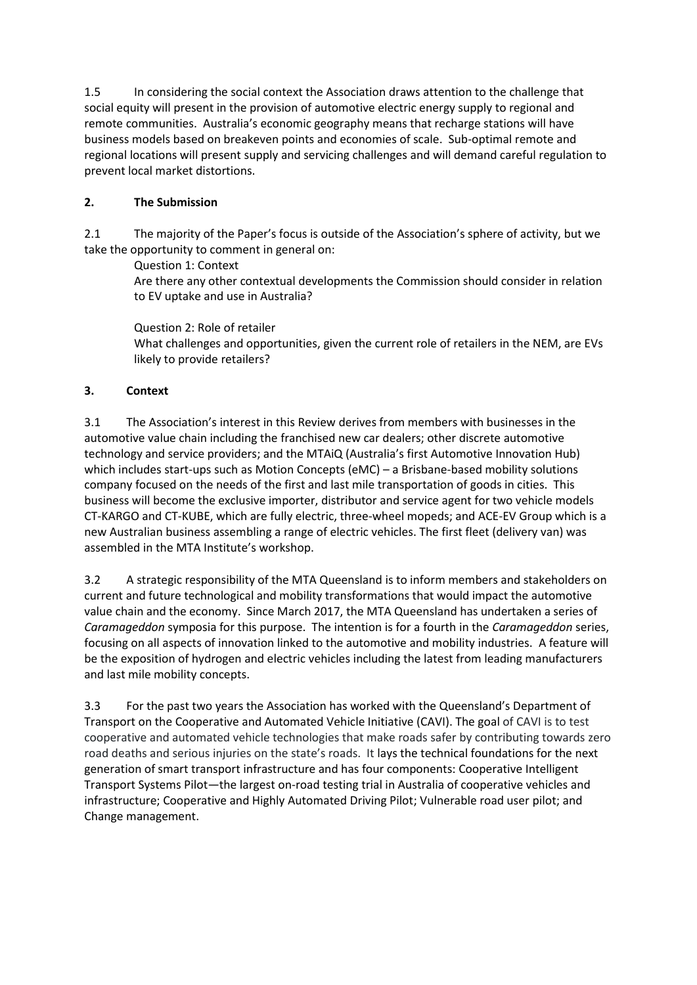1.5 In considering the social context the Association draws attention to the challenge that social equity will present in the provision of automotive electric energy supply to regional and remote communities. Australia's economic geography means that recharge stations will have business models based on breakeven points and economies of scale. Sub-optimal remote and regional locations will present supply and servicing challenges and will demand careful regulation to prevent local market distortions.

## **2. The Submission**

2.1 The majority of the Paper's focus is outside of the Association's sphere of activity, but we take the opportunity to comment in general on:

Question 1: Context

Are there any other contextual developments the Commission should consider in relation to EV uptake and use in Australia?

Question 2: Role of retailer What challenges and opportunities, given the current role of retailers in the NEM, are EVs likely to provide retailers?

## **3. Context**

3.1 The Association's interest in this Review derives from members with businesses in the automotive value chain including the franchised new car dealers; other discrete automotive technology and service providers; and the MTAiQ (Australia's first Automotive Innovation Hub) which includes start-ups such as Motion Concepts (eMC) – a Brisbane-based mobility solutions company focused on the needs of the first and last mile transportation of goods in cities. This business will become the exclusive importer, distributor and service agent for two vehicle models CT-KARGO and CT-KUBE, which are fully electric, three-wheel mopeds; and ACE-EV Group which is a new Australian business assembling a range of electric vehicles. The first fleet (delivery van) was assembled in the MTA Institute's workshop.

3.2 A strategic responsibility of the MTA Queensland is to inform members and stakeholders on current and future technological and mobility transformations that would impact the automotive value chain and the economy. Since March 2017, the MTA Queensland has undertaken a series of *Caramageddon* symposia for this purpose. The intention is for a fourth in the *Caramageddon* series, focusing on all aspects of innovation linked to the automotive and mobility industries. A feature will be the exposition of hydrogen and electric vehicles including the latest from leading manufacturers and last mile mobility concepts.

3.3 For the past two years the Association has worked with the Queensland's Department of Transport on the Cooperative and Automated Vehicle Initiative (CAVI). The goal of CAVI is to test cooperative and automated vehicle technologies that make roads safer by contributing towards zero road deaths and serious injuries on the state's roads. It lays the technical foundations for the next generation of smart transport infrastructure and has four components[: Cooperative Intelligent](https://www.qld.gov.au/transport/projects/cavi/cavi-components)  [Transport Systems Pilot](https://www.qld.gov.au/transport/projects/cavi/cavi-components)—the largest on-road testing trial in Australia of cooperative vehicles and infrastructure; [Cooperative and Highly Automated Driving Pilot; Vulnerable road user pilot;](https://www.qld.gov.au/transport/projects/cavi/cavi-components) and [Change management.](https://www.qld.gov.au/transport/projects/cavi/cavi-components)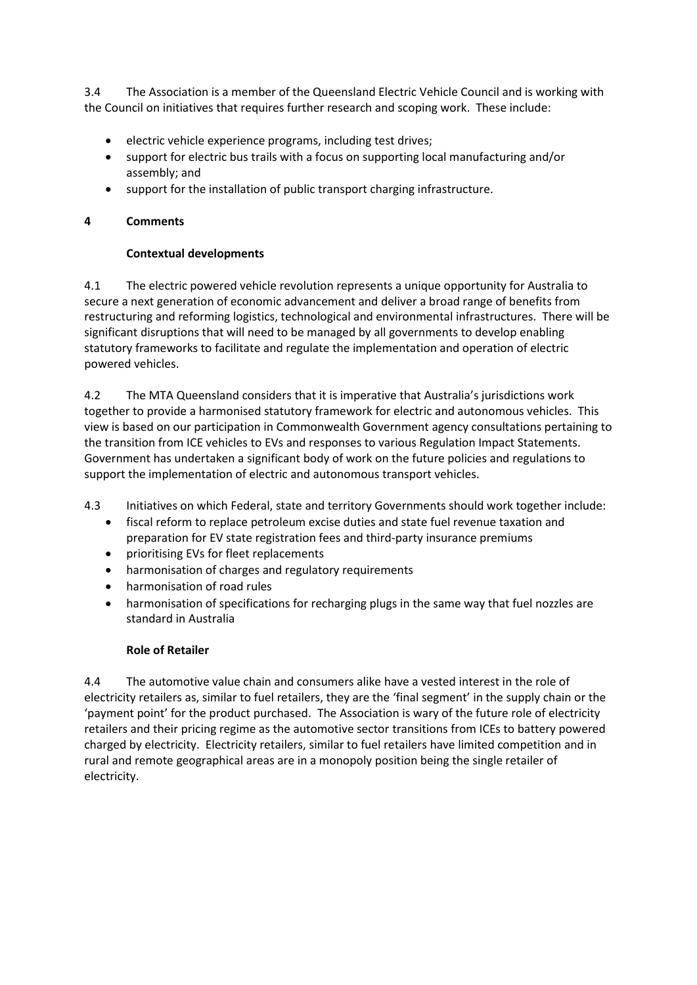3.4 The Association is a member of the Queensland Electric Vehicle Council and is working with the Council on initiatives that requires further research and scoping work. These include:

- electric vehicle experience programs, including test drives;
- support for electric bus trails with a focus on supporting local manufacturing and/or assembly; and
- support for the installation of public transport charging infrastructure.

### **4 Comments**

### **Contextual developments**

4.1 The electric powered vehicle revolution represents a unique opportunity for Australia to secure a next generation of economic advancement and deliver a broad range of benefits from restructuring and reforming logistics, technological and environmental infrastructures. There will be significant disruptions that will need to be managed by all governments to develop enabling statutory frameworks to facilitate and regulate the implementation and operation of electric powered vehicles.

4.2 The MTA Queensland considers that it is imperative that Australia's jurisdictions work together to provide a harmonised statutory framework for electric and autonomous vehicles. This view is based on our participation in Commonwealth Government agency consultations pertaining to the transition from ICE vehicles to EVs and responses to various Regulation Impact Statements. Government has undertaken a significant body of work on the future policies and regulations to support the implementation of electric and autonomous transport vehicles.

4.3 Initiatives on which Federal, state and territory Governments should work together include:

- fiscal reform to replace petroleum excise duties and state fuel revenue taxation and preparation for EV state registration fees and third-party insurance premiums
- prioritising EVs for fleet replacements
- harmonisation of charges and regulatory requirements
- harmonisation of road rules
- harmonisation of specifications for recharging plugs in the same way that fuel nozzles are standard in Australia

#### **Role of Retailer**

4.4 The automotive value chain and consumers alike have a vested interest in the role of electricity retailers as, similar to fuel retailers, they are the 'final segment' in the supply chain or the 'payment point' for the product purchased. The Association is wary of the future role of electricity retailers and their pricing regime as the automotive sector transitions from ICEs to battery powered charged by electricity. Electricity retailers, similar to fuel retailers have limited competition and in rural and remote geographical areas are in a monopoly position being the single retailer of electricity.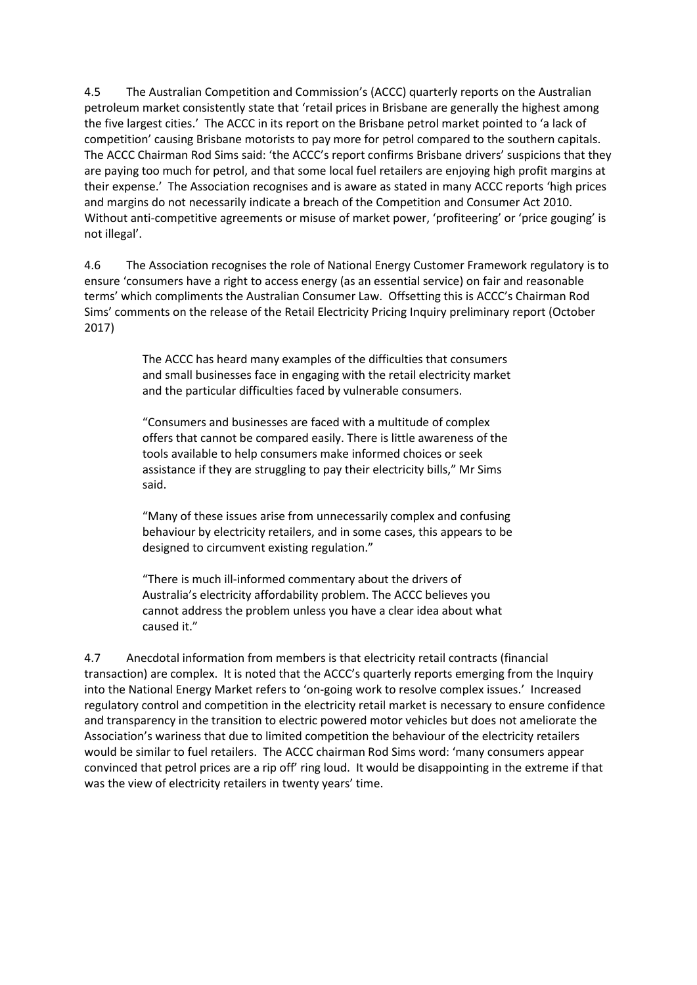4.5 The Australian Competition and Commission's (ACCC) quarterly reports on the Australian petroleum market consistently state that 'retail prices in Brisbane are generally the highest among the five largest cities.' The ACCC in its report on the Brisbane petrol market pointed to 'a lack of competition' causing Brisbane motorists to pay more for petrol compared to the southern capitals. The ACCC Chairman Rod Sims said: 'the ACCC's report confirms Brisbane drivers' suspicions that they are paying too much for petrol, and that some local fuel retailers are enjoying high profit margins at their expense.' The Association recognises and is aware as stated in many ACCC reports 'high prices and margins do not necessarily indicate a breach of the Competition and Consumer Act 2010. Without anti-competitive agreements or misuse of market power, 'profiteering' or 'price gouging' is not illegal'.

4.6 The Association recognises the role of National Energy Customer Framework regulatory is to ensure 'consumers have a right to access energy (as an essential service) on fair and reasonable terms' which compliments the Australian Consumer Law. Offsetting this is ACCC's Chairman Rod Sims' comments on the release of the Retail Electricity Pricing Inquiry preliminary report (October 2017)

> The ACCC has heard many examples of the difficulties that consumers and small businesses face in engaging with the retail electricity market and the particular difficulties faced by vulnerable consumers.

> "Consumers and businesses are faced with a multitude of complex offers that cannot be compared easily. There is little awareness of the tools available to help consumers make informed choices or seek assistance if they are struggling to pay their electricity bills," Mr Sims said.

"Many of these issues arise from unnecessarily complex and confusing behaviour by electricity retailers, and in some cases, this appears to be designed to circumvent existing regulation."

"There is much ill-informed commentary about the drivers of Australia's electricity affordability problem. The ACCC believes you cannot address the problem unless you have a clear idea about what caused it."

4.7 Anecdotal information from members is that electricity retail contracts (financial transaction) are complex. It is noted that the ACCC's quarterly reports emerging from the Inquiry into the National Energy Market refers to 'on-going work to resolve complex issues.' Increased regulatory control and competition in the electricity retail market is necessary to ensure confidence and transparency in the transition to electric powered motor vehicles but does not ameliorate the Association's wariness that due to limited competition the behaviour of the electricity retailers would be similar to fuel retailers. The ACCC chairman Rod Sims word: 'many consumers appear convinced that petrol prices are a rip off' ring loud. It would be disappointing in the extreme if that was the view of electricity retailers in twenty years' time.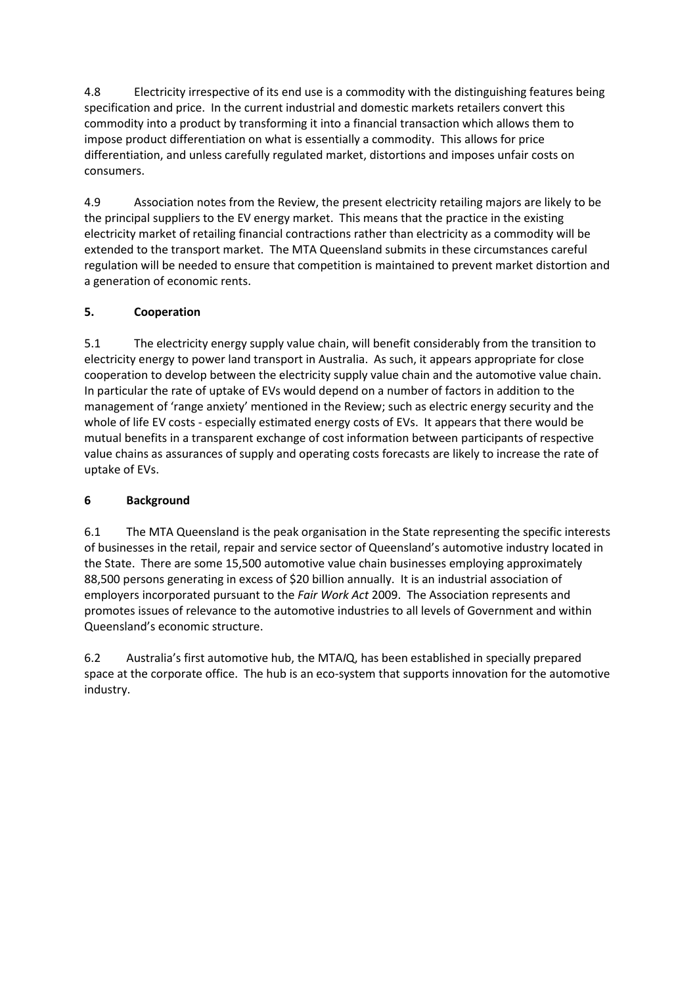4.8 Electricity irrespective of its end use is a commodity with the distinguishing features being specification and price. In the current industrial and domestic markets retailers convert this commodity into a product by transforming it into a financial transaction which allows them to impose product differentiation on what is essentially a commodity. This allows for price differentiation, and unless carefully regulated market, distortions and imposes unfair costs on consumers.

4.9 Association notes from the Review, the present electricity retailing majors are likely to be the principal suppliers to the EV energy market. This means that the practice in the existing electricity market of retailing financial contractions rather than electricity as a commodity will be extended to the transport market. The MTA Queensland submits in these circumstances careful regulation will be needed to ensure that competition is maintained to prevent market distortion and a generation of economic rents.

# **5. Cooperation**

5.1 The electricity energy supply value chain, will benefit considerably from the transition to electricity energy to power land transport in Australia. As such, it appears appropriate for close cooperation to develop between the electricity supply value chain and the automotive value chain. In particular the rate of uptake of EVs would depend on a number of factors in addition to the management of 'range anxiety' mentioned in the Review; such as electric energy security and the whole of life EV costs - especially estimated energy costs of EVs. It appears that there would be mutual benefits in a transparent exchange of cost information between participants of respective value chains as assurances of supply and operating costs forecasts are likely to increase the rate of uptake of EVs.

# **6 Background**

6.1 The MTA Queensland is the peak organisation in the State representing the specific interests of businesses in the retail, repair and service sector of Queensland's automotive industry located in the State. There are some 15,500 automotive value chain businesses employing approximately 88,500 persons generating in excess of \$20 billion annually. It is an industrial association of employers incorporated pursuant to the *Fair Work Act* 2009. The Association represents and promotes issues of relevance to the automotive industries to all levels of Government and within Queensland's economic structure.

6.2 Australia's first automotive hub, the MTA*I*Q, has been established in specially prepared space at the corporate office. The hub is an eco-system that supports innovation for the automotive industry.